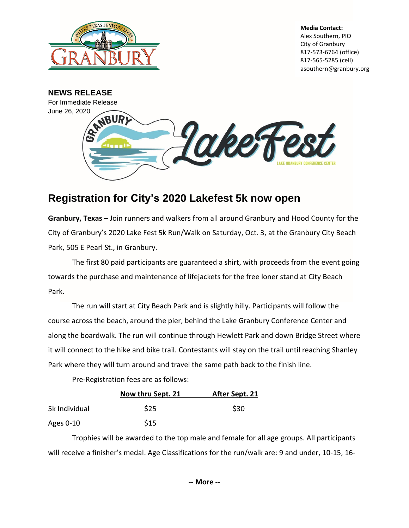

**Media Contact:** Alex Southern, PIO City of Granbury 817-573-6764 (office) 817-565-5285 (cell) asouthern@granbury.org



## **Registration for City's 2020 Lakefest 5k now open**

**Granbury, Texas –** Join runners and walkers from all around Granbury and Hood County for the City of Granbury's 2020 Lake Fest 5k Run/Walk on Saturday, Oct. 3, at the Granbury City Beach Park, 505 E Pearl St., in Granbury.

The first 80 paid participants are guaranteed a shirt, with proceeds from the event going towards the purchase and maintenance of lifejackets for the free loner stand at City Beach Park.

The run will start at City Beach Park and is slightly hilly. Participants will follow the course across the beach, around the pier, behind the Lake Granbury Conference Center and along the boardwalk. The run will continue through Hewlett Park and down Bridge Street where it will connect to the hike and bike trail. Contestants will stay on the trail until reaching Shanley Park where they will turn around and travel the same path back to the finish line.

Pre-Registration fees are as follows:

|               | Now thru Sept. 21 | After Sept. 21 |
|---------------|-------------------|----------------|
| 5k Individual | \$25              | \$30           |
| Ages 0-10     | <b>S15</b>        |                |

Trophies will be awarded to the top male and female for all age groups. All participants will receive a finisher's medal. Age Classifications for the run/walk are: 9 and under, 10-15, 16